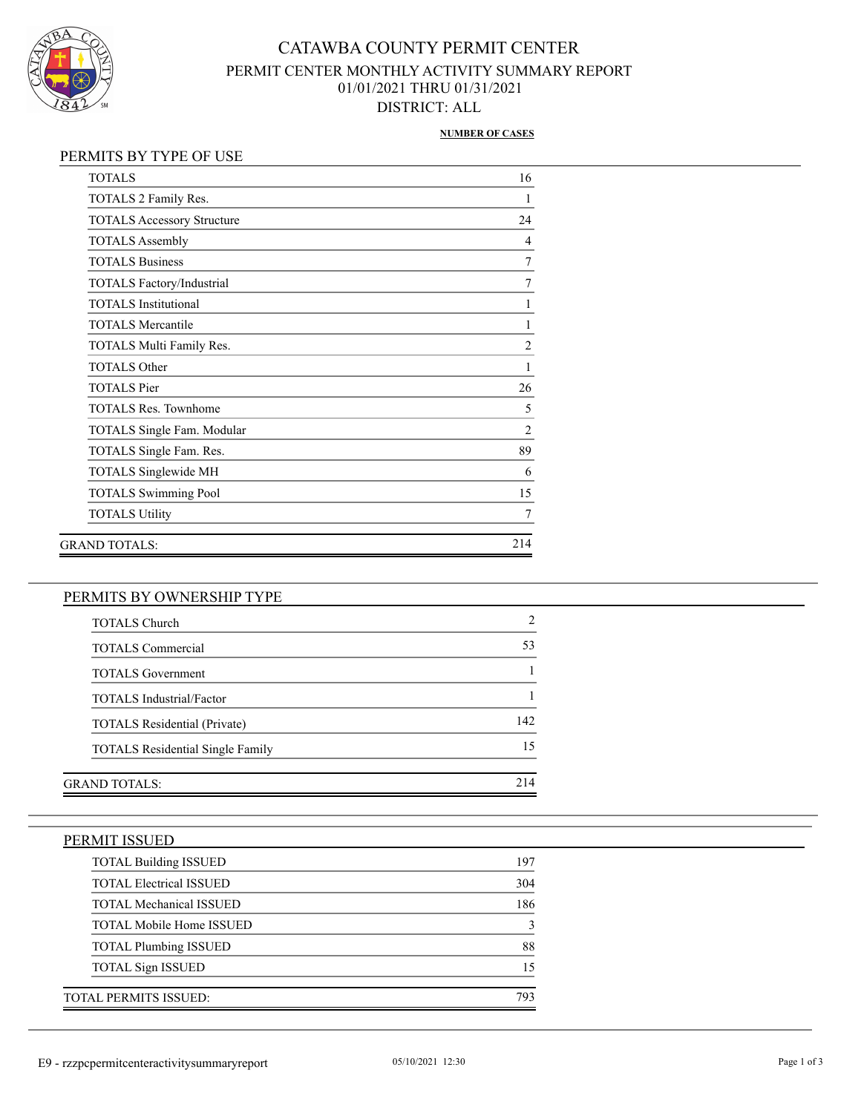

## CATAWBA COUNTY PERMIT CENTER PERMIT CENTER MONTHLY ACTIVITY SUMMARY REPORT 01/01/2021 THRU 01/31/2021 DISTRICT: ALL

#### **NUMBER OF CASES**

### PERMITS BY TYPE OF USE

| <b>TOTALS</b>                     | 16             |
|-----------------------------------|----------------|
| TOTALS 2 Family Res.              |                |
| <b>TOTALS Accessory Structure</b> | 24             |
| <b>TOTALS Assembly</b>            | $\overline{4}$ |
| <b>TOTALS Business</b>            | 7              |
| TOTALS Factory/Industrial         | 7              |
| <b>TOTALS</b> Institutional       | 1              |
| <b>TOTALS Mercantile</b>          | 1              |
| TOTALS Multi Family Res.          | $\overline{2}$ |
| <b>TOTALS Other</b>               | 1              |
| <b>TOTALS</b> Pier                | 26             |
| <b>TOTALS Res. Townhome</b>       | 5              |
| TOTALS Single Fam. Modular        | $\overline{2}$ |
| TOTALS Single Fam. Res.           | 89             |
| TOTALS Singlewide MH              | 6              |
| <b>TOTALS Swimming Pool</b>       | 15             |
| <b>TOTALS Utility</b>             | 7              |
| GRAND TOTALS:                     | 214            |

### PERMITS BY OWNERSHIP TYPE

| 53  |
|-----|
|     |
|     |
| 142 |
| 15  |
|     |
| 214 |
|     |

#### PERMIT ISSUED

| <b>TOTAL Building ISSUED</b>    | 197         |
|---------------------------------|-------------|
| <b>TOTAL Electrical ISSUED</b>  | 304         |
| <b>TOTAL Mechanical ISSUED</b>  | 186         |
| <b>TOTAL Mobile Home ISSUED</b> | $\mathbf 3$ |
| <b>TOTAL Plumbing ISSUED</b>    | 88          |
| <b>TOTAL Sign ISSUED</b>        | 15          |
| TOTAL PERMITS ISSUED:           | 793         |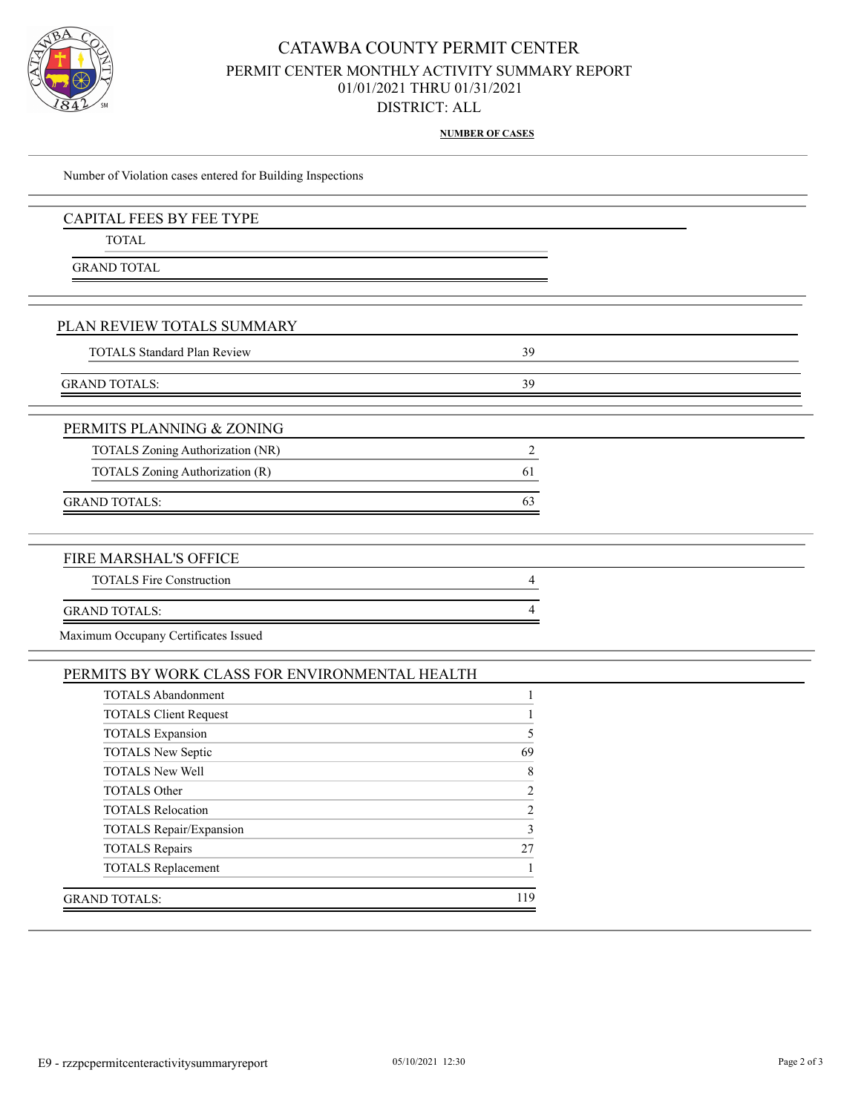

## CATAWBA COUNTY PERMIT CENTER PERMIT CENTER MONTHLY ACTIVITY SUMMARY REPORT 01/01/2021 THRU 01/31/2021 DISTRICT: ALL

**NUMBER OF CASES**

| Number of Violation cases entered for Building Inspections |                |
|------------------------------------------------------------|----------------|
| <b>CAPITAL FEES BY FEE TYPE</b>                            |                |
| <b>TOTAL</b>                                               |                |
| <b>GRAND TOTAL</b>                                         |                |
|                                                            |                |
| PLAN REVIEW TOTALS SUMMARY                                 |                |
| <b>TOTALS Standard Plan Review</b>                         | 39             |
| <b>GRAND TOTALS:</b>                                       | 39             |
| PERMITS PLANNING & ZONING                                  |                |
| TOTALS Zoning Authorization (NR)                           | $\overline{c}$ |
| TOTALS Zoning Authorization (R)                            | 61             |
| <b>GRAND TOTALS:</b>                                       | 63             |
| FIRE MARSHAL'S OFFICE                                      |                |
| <b>TOTALS Fire Construction</b>                            | 4              |
| <b>GRAND TOTALS:</b>                                       |                |
| Maximum Occupany Certificates Issued                       |                |
| PERMITS BY WORK CLASS FOR ENVIRONMENTAL HEALTH             |                |
|                                                            |                |

| 5              |
|----------------|
| 69             |
| 8              |
| $\overline{2}$ |
| 2              |
| 3              |
| 27             |
|                |
| 119            |
|                |